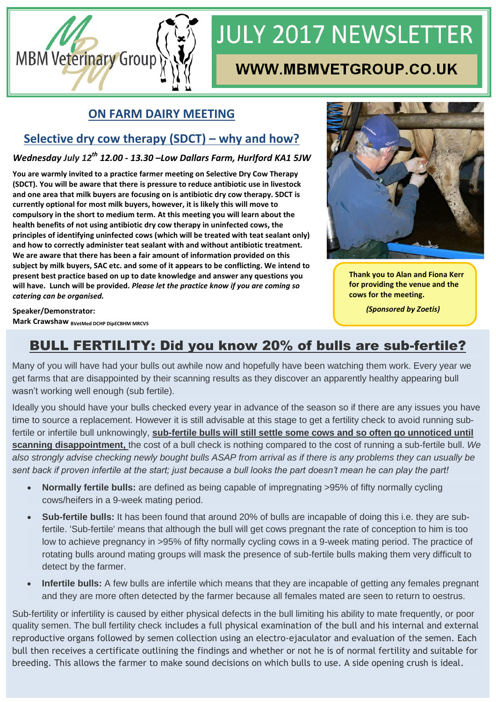

# **JULY 2017 NEWSLETTER**

## **WWW.MBMVETGROUP.CO.UK**

#### **ON FARM DAIRY MEETING**

### **Selective dry cow therapy (SDCT) – why and how?**

*Wednesday July 12th 12.00 - 13.30 –Low Dallars Farm, Hurlford KA1 5JW*

**You are warmly invited to a practice farmer meeting on Selective Dry Cow Therapy (SDCT). You will be aware that there is pressure to reduce antibiotic use in livestock and one area that milk buyers are focusing on is antibiotic dry cow therapy. SDCT is currently optional for most milk buyers, however, it is likely this will move to compulsory in the short to medium term. At this meeting you will learn about the health benefits of not using antibiotic dry cow therapy in uninfected cows, the principles of identifying uninfected cows (which will be treated with teat sealant only) and how to correctly administer teat sealant with and without antibiotic treatment. We are aware that there has been a fair amount of information provided on this subject by milk buyers, SAC etc. and some of it appears to be conflicting. We intend to present best practice based on up to date knowledge and answer any questions you will have. Lunch will be provided.** *Please let the practice know if you are coming so catering can be organised.*



 **Thank you to Alan and Fiona Kerr for providing the venue and the cows for the meeting.**

 *(Sponsored by Zoetis)*

**Speaker/Demonstrator: Mark Crawshaw BVetMed DCHP DipECBHM MRCVS** 

## BULL FERTILITY: Did you know 20% of bulls are sub-fertile?

Many of you will have had your bulls out awhile now and hopefully have been watching them work. Every year we get farms that are disappointed by their scanning results as they discover an apparently healthy appearing bull wasn't working well enough (sub fertile).

Ideally you should have your bulls checked every year in advance of the season so if there are any issues you have time to source a replacement. However it is still advisable at this stage to get a fertility check to avoid running subfertile or infertile bull unknowingly, **sub-fertile bulls will still settle some cows and so often go unnoticed until scanning disappointment,** the cost of a bull check is nothing compared to the cost of running a sub-fertile bull. *We also strongly advise checking newly bought bulls ASAP from arrival as if there is any problems they can usually be sent back if proven infertile at the start; just because a bull looks the part doesn't mean he can play the part!*

- **Normally fertile bulls:** are defined as being capable of impregnating >95% of fifty normally cycling cows/heifers in a 9-week mating period.
- **Sub-fertile bulls:** It has been found that around 20% of bulls are incapable of doing this i.e. they are subfertile. 'Sub-fertile' means that although the bull will get cows pregnant the rate of conception to him is too low to achieve pregnancy in >95% of fifty normally cycling cows in a 9-week mating period. The practice of rotating bulls around mating groups will mask the presence of sub-fertile bulls making them very difficult to detect by the farmer.
- **Infertile bulls:** A few bulls are infertile which means that they are incapable of getting any females pregnant and they are more often detected by the farmer because all females mated are seen to return to oestrus.

Sub-fertility or infertility is caused by either physical defects in the bull limiting his ability to mate frequently, or poor quality semen. The bull fertility check includes a full physical examination of the bull and his internal and external reproductive organs followed by semen collection using an electro-ejaculator and evaluation of the semen. Each bull then receives a certificate outlining the findings and whether or not he is of normal fertility and suitable for breeding. This allows the farmer to make sound decisions on which bulls to use. A side opening crush is ideal.